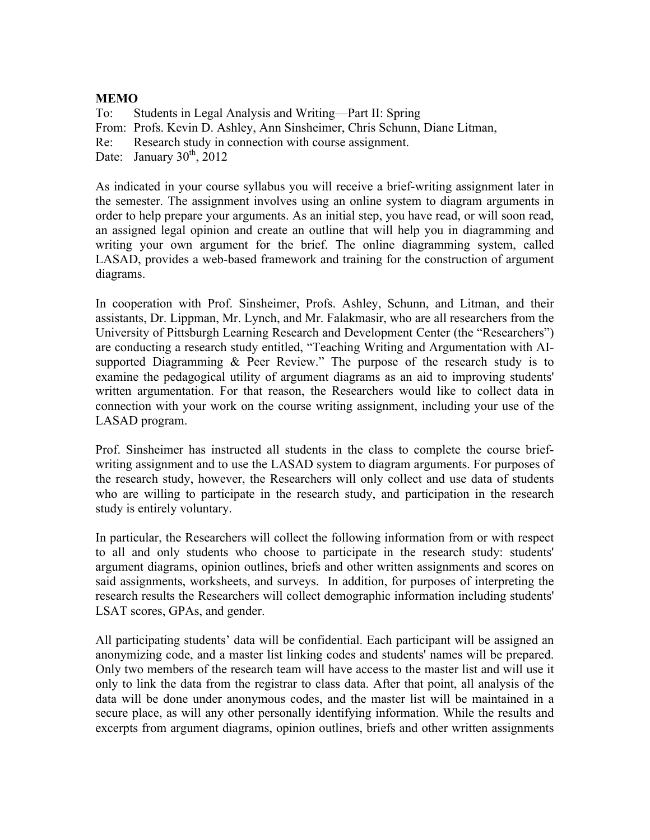## **MEMO**

To: Students in Legal Analysis and Writing—Part II: Spring From: Profs. Kevin D. Ashley, Ann Sinsheimer, Chris Schunn, Diane Litman, Re: Research study in connection with course assignment. Date: January  $30<sup>th</sup>$ , 2012

As indicated in your course syllabus you will receive a brief-writing assignment later in the semester. The assignment involves using an online system to diagram arguments in order to help prepare your arguments. As an initial step, you have read, or will soon read, an assigned legal opinion and create an outline that will help you in diagramming and writing your own argument for the brief. The online diagramming system, called LASAD, provides a web-based framework and training for the construction of argument diagrams.

In cooperation with Prof. Sinsheimer, Profs. Ashley, Schunn, and Litman, and their assistants, Dr. Lippman, Mr. Lynch, and Mr. Falakmasir, who are all researchers from the University of Pittsburgh Learning Research and Development Center (the "Researchers") are conducting a research study entitled, "Teaching Writing and Argumentation with AIsupported Diagramming & Peer Review." The purpose of the research study is to examine the pedagogical utility of argument diagrams as an aid to improving students' written argumentation. For that reason, the Researchers would like to collect data in connection with your work on the course writing assignment, including your use of the LASAD program.

Prof. Sinsheimer has instructed all students in the class to complete the course briefwriting assignment and to use the LASAD system to diagram arguments. For purposes of the research study, however, the Researchers will only collect and use data of students who are willing to participate in the research study, and participation in the research study is entirely voluntary.

In particular, the Researchers will collect the following information from or with respect to all and only students who choose to participate in the research study: students' argument diagrams, opinion outlines, briefs and other written assignments and scores on said assignments, worksheets, and surveys. In addition, for purposes of interpreting the research results the Researchers will collect demographic information including students' LSAT scores, GPAs, and gender.

All participating students' data will be confidential. Each participant will be assigned an anonymizing code, and a master list linking codes and students' names will be prepared. Only two members of the research team will have access to the master list and will use it only to link the data from the registrar to class data. After that point, all analysis of the data will be done under anonymous codes, and the master list will be maintained in a secure place, as will any other personally identifying information. While the results and excerpts from argument diagrams, opinion outlines, briefs and other written assignments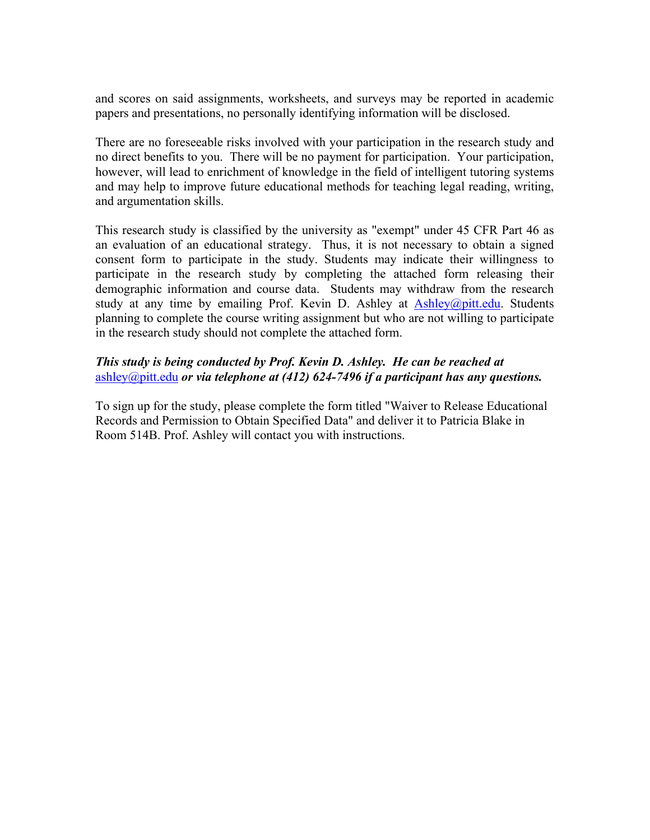and scores on said assignments, worksheets, and surveys may be reported in academic papers and presentations, no personally identifying information will be disclosed.

There are no foreseeable risks involved with your participation in the research study and no direct benefits to you. There will be no payment for participation. Your participation, however, will lead to enrichment of knowledge in the field of intelligent tutoring systems and may help to improve future educational methods for teaching legal reading, writing, and argumentation skills.

This research study is classified by the university as "exempt" under 45 CFR Part 46 as an evaluation of an educational strategy. Thus, it is not necessary to obtain a signed consent form to participate in the study. Students may indicate their willingness to participate in the research study by completing the attached form releasing their demographic information and course data. Students may withdraw from the research study at any time by emailing Prof. Kevin D. Ashley at  $\text{Ashley}(\mathcal{Q}\text{pitt.edu.}$  Students planning to complete the course writing assignment but who are not willing to participate in the research study should not complete the attached form.

## *This study is being conducted by Prof. Kevin D. Ashley. He can be reached at*  ashley@pitt.edu *or via telephone at (412) 624-7496 if a participant has any questions.*

To sign up for the study, please complete the form titled "Waiver to Release Educational Records and Permission to Obtain Specified Data" and deliver it to Patricia Blake in Room 514B. Prof. Ashley will contact you with instructions.